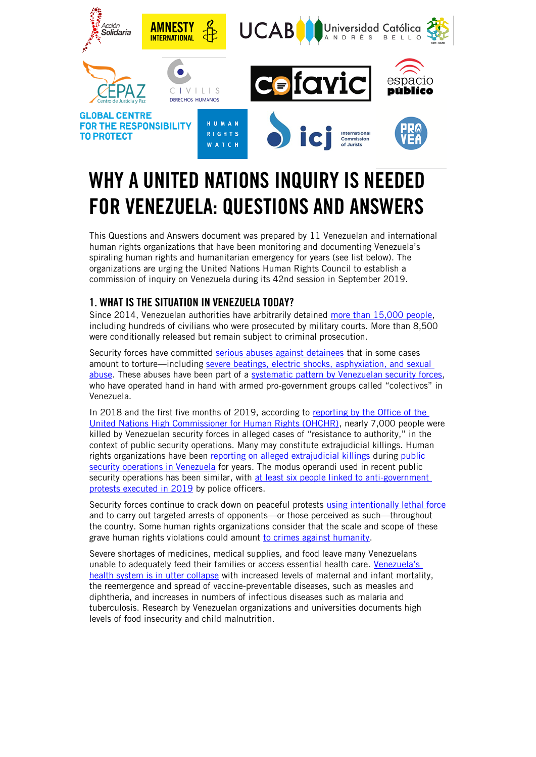

# WHY A UNITED NATIONS INQUIRY IS NEEDED FOR VENEZUELA: QUESTIONS AND ANSWERS

This Questions and Answers document was prepared by 11 Venezuelan and international human rights organizations that have been monitoring and documenting Venezuela's spiraling human rights and humanitarian emergency for years (see list below). The organizations are urging the United Nations Human Rights Council to establish a commission of inquiry on Venezuela during its 42nd session in September 2019.

## 1. WHAT IS THE SITUATION IN VENEZUELA TODAY?

Since 2014, Venezuelan authorities have arbitrarily detained [more than 15,000 people,](https://www.ohchr.org/EN/HRBodies/HRC/RegularSessions/Session41/Documents/A_HRC_41_18.docx) including hundreds of civilians who were prosecuted by military courts. More than 8,500 were conditionally released but remain subject to criminal prosecution.

Security forces have committed [serious abuses against detainees](https://www.amnesty.org/en/documents/amr53/0222/2019/en/) that in some cases amount to torture—including [severe beatings, electric shocks, asphyxiation, and sexual](https://www.hrw.org/report/2014/05/05/punished-protesting/rights-violations-venezuelas-streets-detention-centers-and)  [abuse.](https://www.hrw.org/report/2014/05/05/punished-protesting/rights-violations-venezuelas-streets-detention-centers-and) These abuses have been part of a [systematic pattern by Venezuelan security forces,](https://www.hrw.org/report/2017/11/29/crackdown-dissent/brutality-torture-and-political-persecution-venezuela) who have operated hand in hand with armed pro-government groups called "colectivos" in Venezuela.

In 2018 and the first five months of 2019, according to reporting [by the Office of the](https://www.ohchr.org/EN/HRBodies/HRC/RegularSessions/Session41/Documents/A_HRC_41_18.docx)  [United Nations High Commissioner for Human Rights \(OHCHR\),](https://www.ohchr.org/EN/HRBodies/HRC/RegularSessions/Session41/Documents/A_HRC_41_18.docx) nearly 7,000 people were killed by Venezuelan security forces in alleged cases of "resistance to authority," in the context of public security operations. Many may constitute extrajudicial killings. Human rights organizations have been [reporting on alleged extrajudicial killings](https://www.hrw.org/report/2016/04/04/unchecked-power/police-and-military-raids-low-income-and-immigrant-communities) during public [security operations in Venezuela](https://www.amnesty.org/en/documents/amr53/8975/2018/en/) for years. The modus operandi used in recent public security operations has been similar, with at least six people linked to anti-government [protests executed in 2019](https://www.amnesty.org/en/documents/amr53/0222/2019/en/) by police officers.

Security forces continue to crack down on peaceful protests [using intentionally lethal force](https://www.amnesty.org/en/documents/amr53/0222/2019/en/) and to carry out targeted arrests of opponents—or those perceived as such—throughout the country. Some human rights organizations consider that the scale and scope of these grave human rights violations could amount [to crimes against humanity.](https://www.amnesty.org/en/documents/amr53/0222/2019/en/)

Severe shortages of medicines, medical supplies, and food leave many Venezuelans unable to adequately feed their families or access essential health care. Venezuela's [health system is in utter collapse](https://www.hrw.org/report/2019/04/04/venezuelas-humanitarian-emergency/large-scale-un-response-needed-address-health) with increased levels of maternal and infant mortality, the reemergence and spread of vaccine-preventable diseases, such as measles and diphtheria, and increases in numbers of infectious diseases such as malaria and tuberculosis. Research by Venezuelan organizations and universities documents high levels of food insecurity and child malnutrition.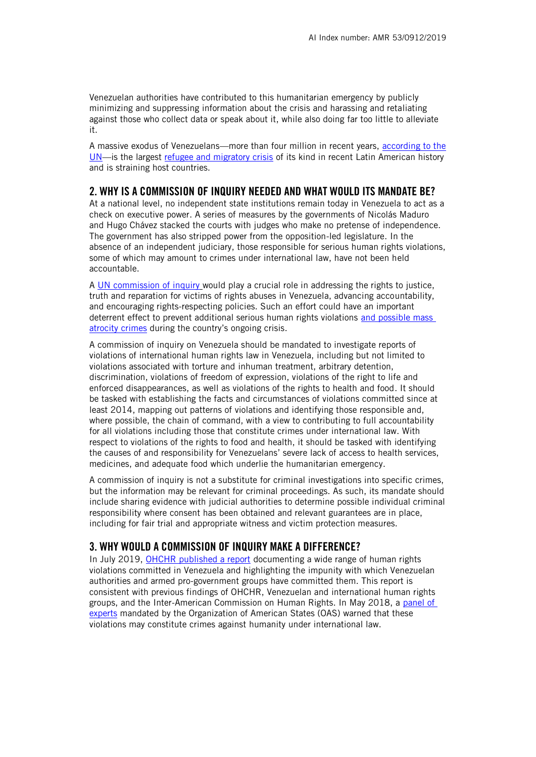Venezuelan authorities have contributed to this humanitarian emergency by publicly minimizing and suppressing information about the crisis and harassing and retaliating against those who collect data or speak about it, while also doing far too little to alleviate it.

A massive exodus of Venezuelans—more than four million in recent years, [according to the](https://www.unhcr.org/venezuela-emergency.html)  [UN](https://www.unhcr.org/venezuela-emergency.html)—is the largest [refugee and migratory crisis](https://www.hrw.org/report/2018/09/03/venezuelan-exodus/need-regional-response-unprecedented-migration-crisis) of its kind in recent Latin American history and is straining host countries.

### 2. WHY IS A COMMISSION OF INQUIRY NEEDED AND WHAT WOULD ITS MANDATE BE?

At a national level, no independent state institutions remain today in Venezuela to act as a check on executive power. A series of measures by the governments of Nicolás Maduro and Hugo Chávez stacked the courts with judges who make no pretense of independence. The government has also stripped power from the opposition-led legislature. In the absence of an independent judiciary, those responsible for serious human rights violations, some of which may amount to crimes under international law, have not been held accountable.

A [UN commission of inquiry](https://www.ohchr.org/EN/HRBodies/HRC/Pages/COIs.aspx) would play a crucial role in addressing the rights to justice, truth and reparation for victims of rights abuses in Venezuela, advancing accountability, and encouraging rights-respecting policies. Such an effort could have an important deterrent effect to prevent additional serious human rights violations [and possible mass](http://www.globalr2p.org/regions/venezuela)  [atrocity crimes](http://www.globalr2p.org/regions/venezuela) during the country's ongoing crisis.

A commission of inquiry on Venezuela should be mandated to investigate reports of violations of international human rights law in Venezuela, including but not limited to violations associated with torture and inhuman treatment, arbitrary detention, discrimination, violations of freedom of expression, violations of the right to life and enforced disappearances, as well as violations of the rights to health and food. It should be tasked with establishing the facts and circumstances of violations committed since at least 2014, mapping out patterns of violations and identifying those responsible and, where possible, the chain of command, with a view to contributing to full accountability for all violations including those that constitute crimes under international law. With respect to violations of the rights to food and health, it should be tasked with identifying the causes of and responsibility for Venezuelans' severe lack of access to health services, medicines, and adequate food which underlie the humanitarian emergency.

A commission of inquiry is not a substitute for criminal investigations into specific crimes, but the information may be relevant for criminal proceedings. As such, its mandate should include sharing evidence with judicial authorities to determine possible individual criminal responsibility where consent has been obtained and relevant guarantees are in place, including for fair trial and appropriate witness and victim protection measures.

### 3. WHY WOULD A COMMISSION OF INQUIRY MAKE A DIFFERENCE?

In July 2019, [OHCHR published a report](https://www.ohchr.org/en/NewsEvents/Pages/DisplayNews.aspx?NewsID=24788&LangID=E) documenting a wide range of human rights violations committed in Venezuela and highlighting the impunity with which Venezuelan authorities and armed pro-government groups have committed them. This report is consistent with previous findings of OHCHR, Venezuelan and international human rights groups, and the Inter-American Commission on Human Rights. In May 2018, a [panel of](http://www.oas.org/en/media_center/press_release.asp?sCodigo=E-031/18)  [experts](http://www.oas.org/en/media_center/press_release.asp?sCodigo=E-031/18) mandated by the Organization of American States (OAS) warned that these violations may constitute crimes against humanity under international law.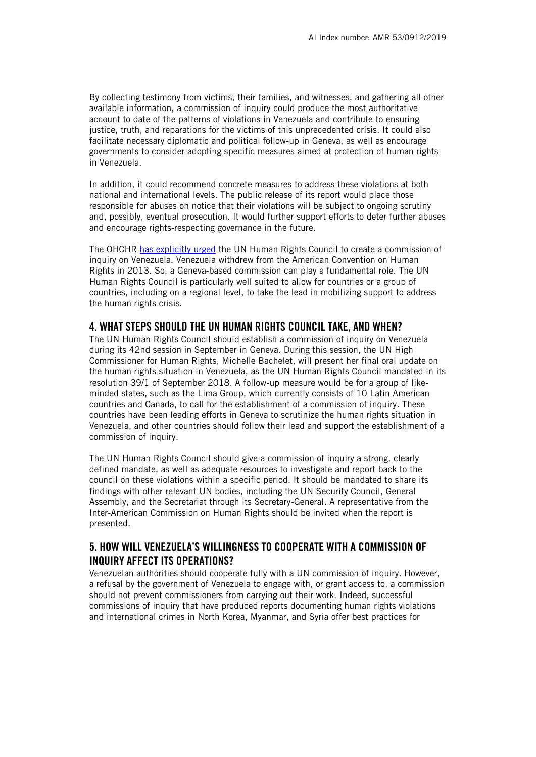By collecting testimony from victims, their families, and witnesses, and gathering all other available information, a commission of inquiry could produce the most authoritative account to date of the patterns of violations in Venezuela and contribute to ensuring justice, truth, and reparations for the victims of this unprecedented crisis. It could also facilitate necessary diplomatic and political follow-up in Geneva, as well as encourage governments to consider adopting specific measures aimed at protection of human rights in Venezuela.

In addition, it could recommend concrete measures to address these violations at both national and international levels. The public release of its report would place those responsible for abuses on notice that their violations will be subject to ongoing scrutiny and, possibly, eventual prosecution. It would further support efforts to deter further abuses and encourage rights-respecting governance in the future.

The OHCHR [has explicitly urged](https://www.ohchr.org/EN/NewsEvents/Pages/DisplayNews.aspx?NewsID=23242&LangID=E) the UN Human Rights Council to create a commission of inquiry on Venezuela. Venezuela withdrew from the American Convention on Human Rights in 2013. So, a Geneva-based commission can play a fundamental role. The UN Human Rights Council is particularly well suited to allow for countries or a group of countries, including on a regional level, to take the lead in mobilizing support to address the human rights crisis.

#### 4. WHAT STEPS SHOULD THE UN HUMAN RIGHTS COUNCIL TAKE, AND WHEN?

The UN Human Rights Council should establish a commission of inquiry on Venezuela during its 42nd session in September in Geneva. During this session, the UN High Commissioner for Human Rights, Michelle Bachelet, will present her final oral update on the human rights situation in Venezuela, as the UN Human Rights Council mandated in its resolution 39/1 of September 2018. A follow-up measure would be for a group of likeminded states, such as the Lima Group, which currently consists of 10 Latin American countries and Canada, to call for the establishment of a commission of inquiry. These countries have been leading efforts in Geneva to scrutinize the human rights situation in Venezuela, and other countries should follow their lead and support the establishment of a commission of inquiry.

The UN Human Rights Council should give a commission of inquiry a strong, clearly defined mandate, as well as adequate resources to investigate and report back to the council on these violations within a specific period. It should be mandated to share its findings with other relevant UN bodies, including the UN Security Council, General Assembly, and the Secretariat through its Secretary-General. A representative from the Inter-American Commission on Human Rights should be invited when the report is presented.

## 5. HOW WILL VENEZUELA'S WILLINGNESS TO COOPERATE WITH A COMMISSION OF INQUIRY AFFECT ITS OPERATIONS?

Venezuelan authorities should cooperate fully with a UN commission of inquiry. However, a refusal by the government of Venezuela to engage with, or grant access to, a commission should not prevent commissioners from carrying out their work. Indeed, successful commissions of inquiry that have produced reports documenting human rights violations and international crimes in North Korea, Myanmar, and Syria offer best practices for